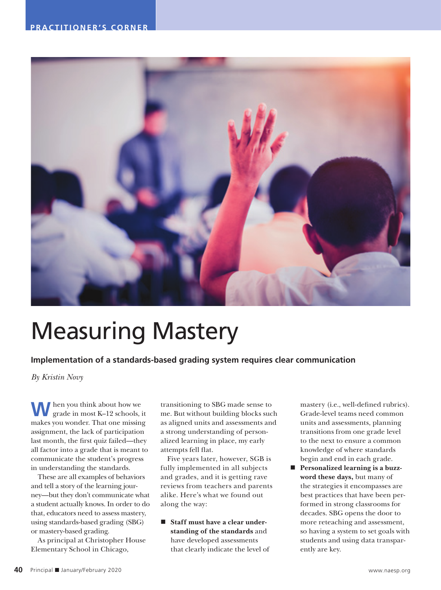

## Measuring Mastery

**Implementation of a standards-based grading system requires clear communication** 

*By Kristin Novy*

**W**hen you think about how we grade in most K–12 schools, it makes you wonder. That one missing assignment, the lack of participation last month, the first quiz failed—they all factor into a grade that is meant to communicate the student's progress in understanding the standards.

These are all examples of behaviors and tell a story of the learning journey—but they don't communicate what a student actually knows. In order to do that, educators need to assess mastery, using standards-based grading (SBG) or mastery-based grading.

As principal at Christopher House Elementary School in Chicago,

transitioning to SBG made sense to me. But without building blocks such as aligned units and assessments and a strong understanding of personalized learning in place, my early attempts fell flat.

Five years later, however, SGB is fully implemented in all subjects and grades, and it is getting rave reviews from teachers and parents alike. Here's what we found out along the way:

 **Staff must have a clear understanding of the standards** and have developed assessments that clearly indicate the level of mastery (i.e., well-defined rubrics). Grade-level teams need common units and assessments, planning transitions from one grade level to the next to ensure a common knowledge of where standards begin and end in each grade.

 **Personalized learning is a buzzword these days,** but many of the strategies it encompasses are best practices that have been performed in strong classrooms for decades. SBG opens the door to more reteaching and assessment, so having a system to set goals with students and using data transparently are key.